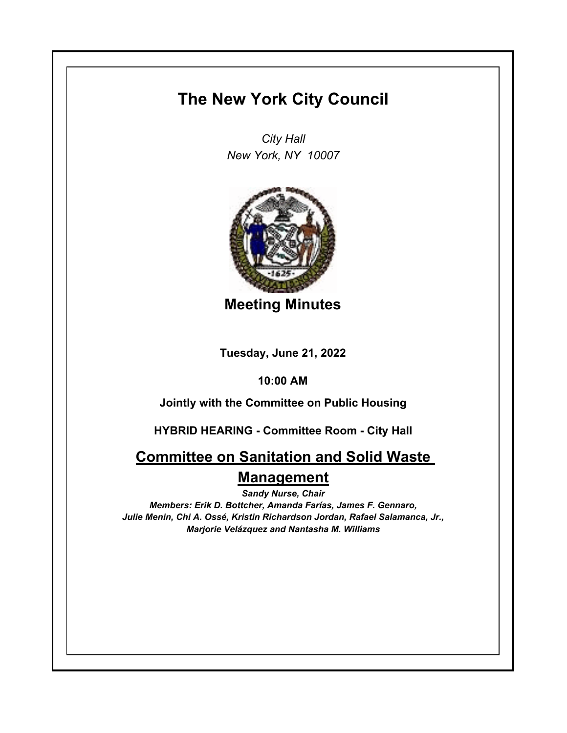## **The New York City Council**

*City Hall New York, NY 10007*



**Meeting Minutes**

**Tuesday, June 21, 2022**

**10:00 AM**

**Jointly with the Committee on Public Housing**

**HYBRID HEARING - Committee Room - City Hall**

**Committee on Sanitation and Solid Waste Management**

*Sandy Nurse, Chair Members: Erik D. Bottcher, Amanda Farías, James F. Gennaro, Julie Menin, Chi A. Ossé, Kristin Richardson Jordan, Rafael Salamanca, Jr., Marjorie Velázquez and Nantasha M. Williams*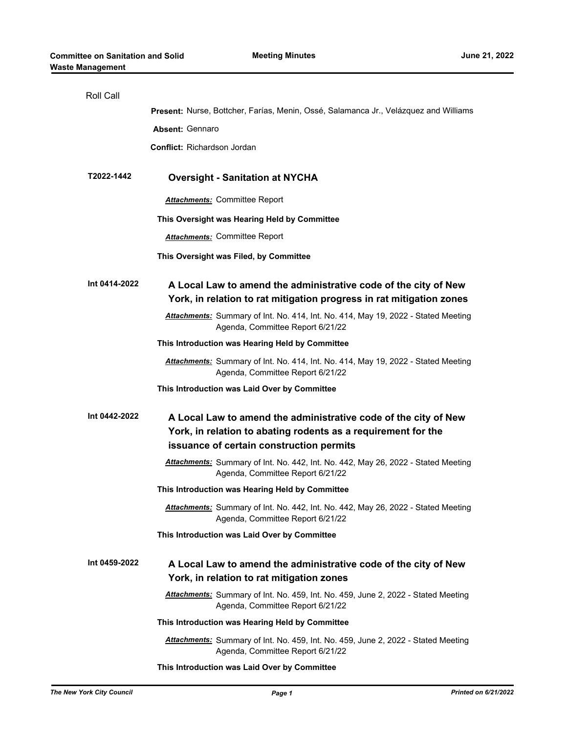| <b>Roll Call</b> |                                                                                                                              |
|------------------|------------------------------------------------------------------------------------------------------------------------------|
|                  | Present: Nurse, Bottcher, Farías, Menin, Ossé, Salamanca Jr., Velázquez and Williams                                         |
|                  | <b>Absent: Gennaro</b>                                                                                                       |
|                  | <b>Conflict: Richardson Jordan</b>                                                                                           |
|                  |                                                                                                                              |
| T2022-1442       | <b>Oversight - Sanitation at NYCHA</b>                                                                                       |
|                  | <b>Attachments: Committee Report</b>                                                                                         |
|                  | This Oversight was Hearing Held by Committee                                                                                 |
|                  | <b>Attachments: Committee Report</b>                                                                                         |
|                  | This Oversight was Filed, by Committee                                                                                       |
| Int 0414-2022    | A Local Law to amend the administrative code of the city of New                                                              |
|                  | York, in relation to rat mitigation progress in rat mitigation zones                                                         |
|                  | Attachments: Summary of Int. No. 414, Int. No. 414, May 19, 2022 - Stated Meeting<br>Agenda, Committee Report 6/21/22        |
|                  | This Introduction was Hearing Held by Committee                                                                              |
|                  | Attachments: Summary of Int. No. 414, Int. No. 414, May 19, 2022 - Stated Meeting<br>Agenda, Committee Report 6/21/22        |
|                  | This Introduction was Laid Over by Committee                                                                                 |
| Int 0442-2022    | A Local Law to amend the administrative code of the city of New                                                              |
|                  | York, in relation to abating rodents as a requirement for the                                                                |
|                  | issuance of certain construction permits                                                                                     |
|                  | Attachments: Summary of Int. No. 442, Int. No. 442, May 26, 2022 - Stated Meeting<br>Agenda, Committee Report 6/21/22        |
|                  | This Introduction was Hearing Held by Committee                                                                              |
|                  | Attachments: Summary of Int. No. 442, Int. No. 442, May 26, 2022 - Stated Meeting<br>Agenda, Committee Report 6/21/22        |
|                  | This Introduction was Laid Over by Committee                                                                                 |
| Int 0459-2022    | A Local Law to amend the administrative code of the city of New                                                              |
|                  | York, in relation to rat mitigation zones                                                                                    |
|                  | Attachments: Summary of Int. No. 459, Int. No. 459, June 2, 2022 - Stated Meeting<br>Agenda, Committee Report 6/21/22        |
|                  | This Introduction was Hearing Held by Committee                                                                              |
|                  | <b>Attachments:</b> Summary of Int. No. 459, Int. No. 459, June 2, 2022 - Stated Meeting<br>Agenda, Committee Report 6/21/22 |
|                  | This Introduction was Laid Over by Committee                                                                                 |